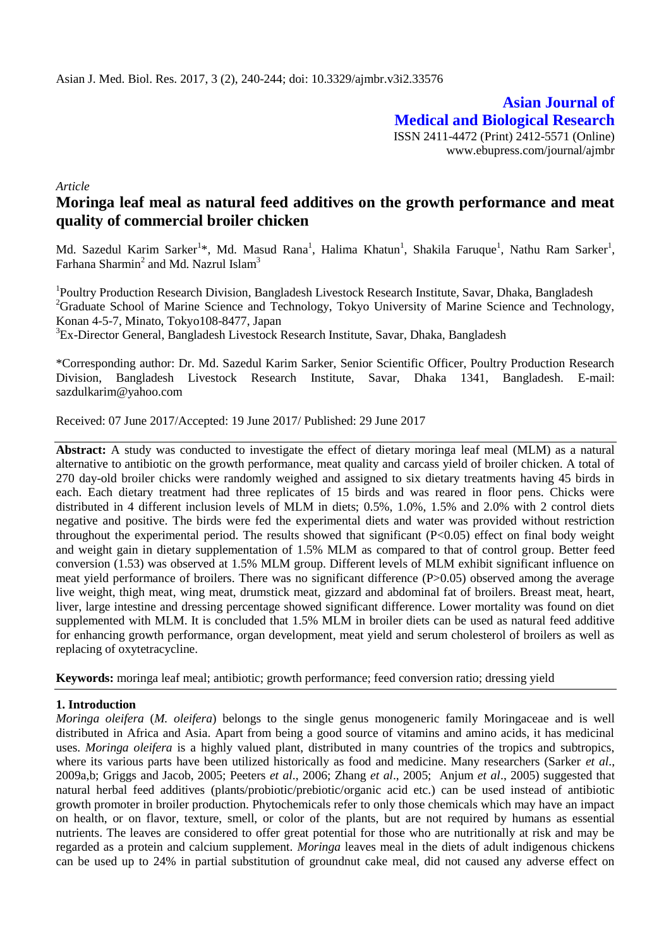**Asian Journal of Medical and Biological Research** ISSN 2411-4472 (Print) 2412-5571 (Online) www.ebupress.com/journal/ajmbr

*Article*

# **Moringa leaf meal as natural feed additives on the growth performance and meat quality of commercial broiler chicken**

Md. Sazedul Karim Sarker<sup>1\*</sup>, Md. Masud Rana<sup>1</sup>, Halima Khatun<sup>1</sup>, Shakila Faruque<sup>1</sup>, Nathu Ram Sarker<sup>1</sup>, Farhana Sharmin $^2$  and Md. Nazrul Islam $^3$ 

<sup>1</sup>Poultry Production Research Division, Bangladesh Livestock Research Institute, Savar, Dhaka, Bangladesh <sup>2</sup>Graduate School of Marine Science and Technology, Tokyo University of Marine Science and Technology, Konan 4-5-7, Minato, Tokyo108-8477, Japan <sup>3</sup>Ex-Director General, Bangladesh Livestock Research Institute, Savar, Dhaka, Bangladesh

\*Corresponding author: Dr. Md. Sazedul Karim Sarker, Senior Scientific Officer, Poultry Production Research Division, Bangladesh Livestock Research Institute, Savar, Dhaka 1341, Bangladesh. E-mail: [sazdulkarim@yahoo.com](mailto:sazdulkarim@yahoo.com)

Received: 07 June 2017/Accepted: 19 June 2017/ Published: 29 June 2017

**Abstract:** A study was conducted to investigate the effect of dietary moringa leaf meal (MLM) as a natural alternative to antibiotic on the growth performance, meat quality and carcass yield of broiler chicken. A total of 270 day-old broiler chicks were randomly weighed and assigned to six dietary treatments having 45 birds in each. Each dietary treatment had three replicates of 15 birds and was reared in floor pens. Chicks were distributed in 4 different inclusion levels of MLM in diets; 0.5%, 1.0%, 1.5% and 2.0% with 2 control diets negative and positive. The birds were fed the experimental diets and water was provided without restriction throughout the experimental period. The results showed that significant (P<0.05) effect on final body weight and weight gain in dietary supplementation of 1.5% MLM as compared to that of control group. Better feed conversion (1.53) was observed at 1.5% MLM group. Different levels of MLM exhibit significant influence on meat yield performance of broilers. There was no significant difference (P>0.05) observed among the average live weight, thigh meat, wing meat, drumstick meat, gizzard and abdominal fat of broilers. Breast meat, heart, liver, large intestine and dressing percentage showed significant difference. Lower mortality was found on diet supplemented with MLM. It is concluded that 1.5% MLM in broiler diets can be used as natural feed additive for enhancing growth performance, organ development, meat yield and serum cholesterol of broilers as well as replacing of oxytetracycline.

**Keywords:** moringa leaf meal; antibiotic; growth performance; feed conversion ratio; dressing yield

# **1. Introduction**

*Moringa oleifera* (*M. oleifera*) belongs to the single genus monogeneric family Moringaceae and is well distributed in Africa and Asia. Apart from being a good source of vitamins and amino acids, it has medicinal uses. *Moringa oleifera* is a highly valued plant, distributed in many countries of the tropics and subtropics, where its various parts have been utilized historically as food and medicine. Many researchers (Sarker *et al*., 2009a,b; Griggs and Jacob, 2005; Peeters *et al*., 2006; Zhang *et al*., 2005; Anjum *et al*., 2005) suggested that natural herbal feed additives (plants/probiotic/prebiotic/organic acid etc.) can be used instead of antibiotic growth promoter in broiler production. Phytochemicals refer to only those chemicals which may have an impact on health, or on flavor, texture, smell, or color of the plants, but are not required by humans as essential nutrients. The leaves are considered to offer great potential for those who are nutritionally at risk and may be regarded as a protein and calcium supplement. *Moringa* leaves meal in the diets of adult indigenous chickens can be used up to 24% in partial substitution of groundnut cake meal, did not caused any adverse effect on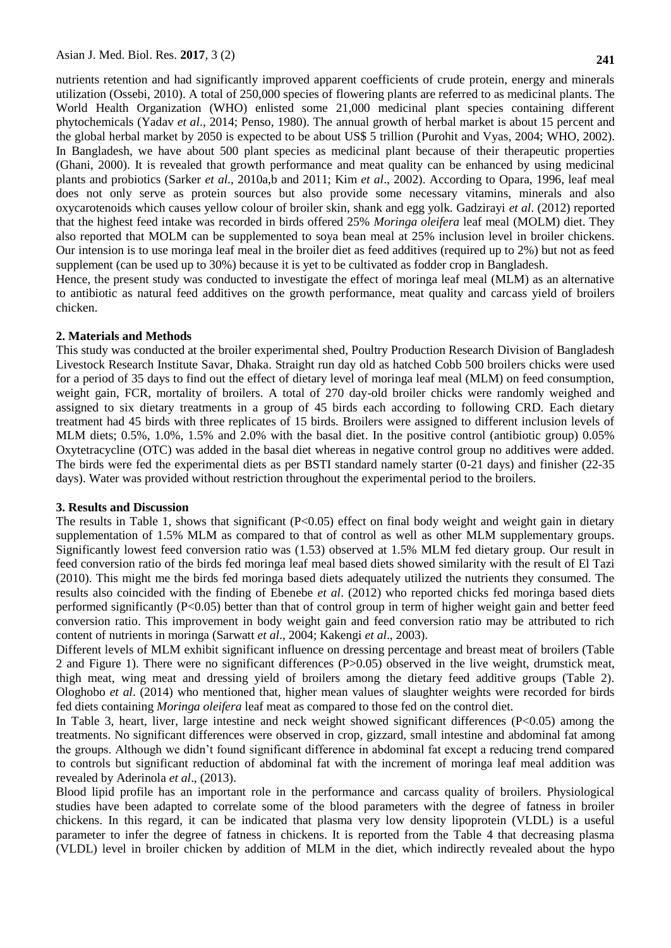nutrients retention and had significantly improved apparent coefficients of crude protein, energy and minerals utilization (Ossebi, 2010). A total of 250,000 species of flowering plants are referred to as medicinal plants. The World Health Organization (WHO) enlisted some 21,000 medicinal plant species containing different phytochemicals (Yadav *et al*., 2014; Penso, 1980). The annual growth of herbal market is about 15 percent and the global herbal market by 2050 is expected to be about US\$ 5 trillion (Purohit and Vyas, 2004; WHO, 2002). In Bangladesh, we have about 500 plant species as medicinal plant because of their therapeutic properties (Ghani, 2000). It is revealed that growth performance and meat quality can be enhanced by using medicinal plants and probiotics (Sarker *et al*., 2010a,b and 2011; Kim *et al*., 2002). According to Opara, 1996, leaf meal does not only serve as protein sources but also provide some necessary vitamins, minerals and also oxycarotenoids which causes yellow colour of broiler skin, shank and egg yolk. Gadzirayi *et al*. (2012) reported that the highest feed intake was recorded in birds offered 25% *Moringa oleifera* leaf meal (MOLM) diet. They also reported that MOLM can be supplemented to soya bean meal at 25% inclusion level in broiler chickens. Our intension is to use moringa leaf meal in the broiler diet as feed additives (required up to 2%) but not as feed supplement (can be used up to 30%) because it is yet to be cultivated as fodder crop in Bangladesh.

Hence, the present study was conducted to investigate the effect of moringa leaf meal (MLM) as an alternative to antibiotic as natural feed additives on the growth performance, meat quality and carcass yield of broilers chicken.

## **2. Materials and Methods**

This study was conducted at the broiler experimental shed, Poultry Production Research Division of Bangladesh Livestock Research Institute Savar, Dhaka. Straight run day old as hatched Cobb 500 broilers chicks were used for a period of 35 days to find out the effect of dietary level of moringa leaf meal (MLM) on feed consumption, weight gain, FCR, mortality of broilers. A total of 270 day-old broiler chicks were randomly weighed and assigned to six dietary treatments in a group of 45 birds each according to following CRD. Each dietary treatment had 45 birds with three replicates of 15 birds. Broilers were assigned to different inclusion levels of MLM diets; 0.5%, 1.0%, 1.5% and 2.0% with the basal diet. In the positive control (antibiotic group) 0.05% Oxytetracycline (OTC) was added in the basal diet whereas in negative control group no additives were added. The birds were fed the experimental diets as per BSTI standard namely starter (0-21 days) and finisher (22-35 days). Water was provided without restriction throughout the experimental period to the broilers.

#### **3. Results and Discussion**

The results in Table 1, shows that significant (P<0.05) effect on final body weight and weight gain in dietary supplementation of 1.5% MLM as compared to that of control as well as other MLM supplementary groups. Significantly lowest feed conversion ratio was (1.53) observed at 1.5% MLM fed dietary group. Our result in feed conversion ratio of the birds fed moringa leaf meal based diets showed similarity with the result of El Tazi (2010). This might me the birds fed moringa based diets adequately utilized the nutrients they consumed. The results also coincided with the finding of Ebenebe *et al*. (2012) who reported chicks fed moringa based diets performed significantly (P<0.05) better than that of control group in term of higher weight gain and better feed conversion ratio. This improvement in body weight gain and feed conversion ratio may be attributed to rich content of nutrients in moringa (Sarwatt *et al*., 2004; Kakengi *et al*., 2003).

Different levels of MLM exhibit significant influence on dressing percentage and breast meat of broilers (Table 2 and Figure 1). There were no significant differences (P>0.05) observed in the live weight, drumstick meat, thigh meat, wing meat and dressing yield of broilers among the dietary feed additive groups (Table 2). Ologhobo *et al*. (2014) who mentioned that, higher mean values of slaughter weights were recorded for birds fed diets containing *Moringa oleifera* leaf meat as compared to those fed on the control diet.

In Table 3, heart, liver, large intestine and neck weight showed significant differences (P<0.05) among the treatments. No significant differences were observed in crop, gizzard, small intestine and abdominal fat among the groups. Although we didn't found significant difference in abdominal fat except a reducing trend compared to controls but significant reduction of abdominal fat with the increment of moringa leaf meal addition was revealed by Aderinola *et al*., (2013).

Blood lipid profile has an important role in the performance and carcass quality of broilers. Physiological studies have been adapted to correlate some of the blood parameters with the degree of fatness in broiler chickens. In this regard, it can be indicated that plasma very low density lipoprotein (VLDL) is a useful parameter to infer the degree of fatness in chickens. It is reported from the Table 4 that decreasing plasma (VLDL) level in broiler chicken by addition of MLM in the diet, which indirectly revealed about the hypo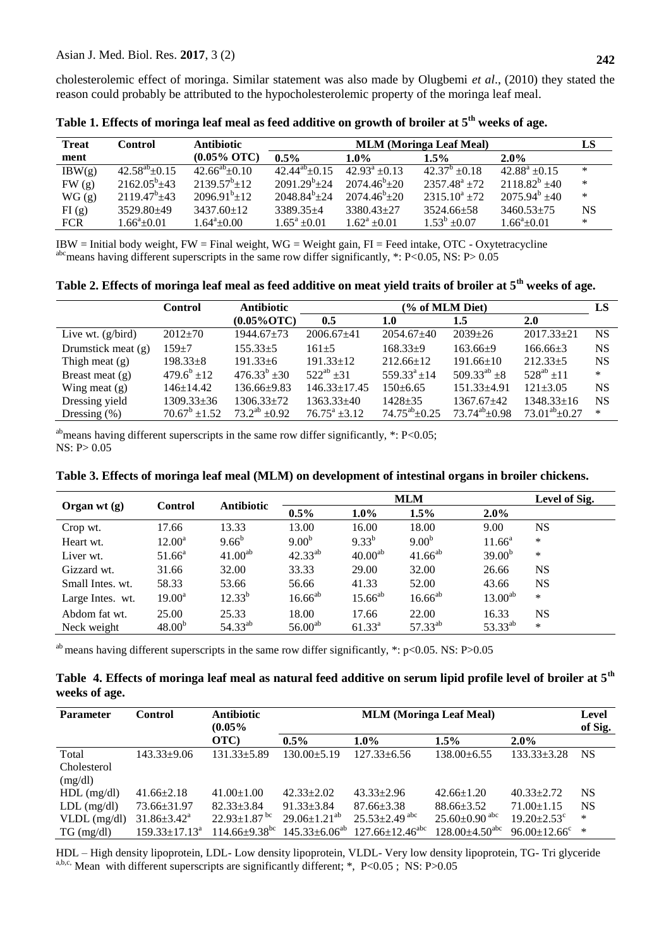cholesterolemic effect of moringa. Similar statement was also made by Olugbemi *et al*., (2010) they stated the reason could probably be attributed to the hypocholesterolemic property of the moringa leaf meal.

| <b>Treat</b> | Control               | <b>Antibiotic</b>      | <b>MLM</b> (Moringa Leaf Meal) |                        |                            |                    |        |  |
|--------------|-----------------------|------------------------|--------------------------------|------------------------|----------------------------|--------------------|--------|--|
| ment         |                       | $(0.05\% \text{ OTC})$ | $0.5\%$                        | $1.0\%$                | $1.5\%$                    | $2.0\%$            |        |  |
| IBW(g)       | $42.58^{ab} \pm 0.15$ | $42.66^{ab} \pm 0.10$  | $42.44^{ab} \pm 0.15$          | $42.93^{\rm a} + 0.13$ | $42.37^{\rm b}$ ±0.18      | $42.88^a \pm 0.15$ | $\ast$ |  |
| FW(g)        | $2162.05^b \pm 43$    | $2139.57^b \pm 12$     | $2091.29^b \pm 24$             | $2074.46^{\circ}+20$   | $2357.48^{\rm a}$ $\pm 72$ | $2118.82^b$ ±40    | ∗      |  |
| WG(g)        | $2119.47^b$ $\pm 43$  | $2096.91^{b} \pm 12$   | $2048.84^b \pm 24$             | $2074.46^b \pm 20$     | $2315.10^a \pm 72$         | $2075.94^b \pm 40$ | ∗      |  |
| FI(g)        | $3529.80\pm49$        | $3437.60 \pm 12$       | $3389.35+4$                    | $3380.43 + 27$         | $3524.66 \pm 58$           | $3460.53 + 75$     | NS     |  |
| <b>FCR</b>   | $1.66^{\circ}+0.01$   | $1.64^{\circ}$ + 0.00  | $1.65^a \pm 0.01$              | $1.62^a \pm 0.01$      | $1.53^b \pm 0.07$          | $1.66^a \pm 0.01$  | ∗      |  |

**Table 1. Effects of moringa leaf meal as feed additive on growth of broiler at 5th weeks of age.**

IBW = Initial body weight,  $FW = Final$  weight,  $WG = Weight$  gain,  $FI = Feed$  intake,  $OTC - Oxy$ tetracycline <sup>abc</sup> means having different superscripts in the same row differ significantly, \*: P<0.05, NS: P> 0.05

**Table 2. Effects of moringa leaf meal as feed additive on meat yield traits of broiler at 5th weeks of age.**

|                     | <b>Antibiotic</b><br><b>Control</b> |                        | (% of MLM Diet)       |                       |                              |                       |           |  |
|---------------------|-------------------------------------|------------------------|-----------------------|-----------------------|------------------------------|-----------------------|-----------|--|
|                     |                                     | $(0.05\% OTC)$         | 0.5                   | 1.0                   | 1.5                          | <b>2.0</b>            |           |  |
| Live wt. $(g/bird)$ | $2012 \pm 70$                       | 1944.67±73             | $2006.67 + 41$        | $2054.67\pm40$        | $2039+26$                    | $2017.33 \pm 21$      | <b>NS</b> |  |
| Drumstick meat (g)  | $159 + 7$                           | $155.33 + 5$           | $161 + 5$             | $168.33+9$            | $163.66+9$                   | $166.66\pm3$          | <b>NS</b> |  |
| Thigh meat $(g)$    | $198.33 \pm 8$                      | $191.33 \pm 6$         | $191.33 \pm 12$       | $212.66 \pm 12$       | $191.66 \pm 10$              | $212.33+5$            | <b>NS</b> |  |
| Breast meat $(g)$   | $479.6^b \pm 12$                    | $476.33^{b}$ ± 30      | $522^{ab} \pm 31$     | $559.33^a \pm 14$     | 509.33 <sup>ab</sup> $\pm 8$ | $528^{ab} \pm 11$     | $\ast$    |  |
| Wing meat $(g)$     | $146 \pm 14.42$                     | $136.66 \pm 9.83$      | $146.33 \pm 17.45$    | $150 \pm 6.65$        | $151.33 \pm 4.91$            | $121 \pm 3.05$        | <b>NS</b> |  |
| Dressing yield      | 1309.33±36                          | $1306.33 \pm 72$       | $1363.33 + 40$        | $1428 + 35$           | $1367.67 + 42$               | $1348.33 \pm 16$      | <b>NS</b> |  |
| Dressing $(\%)$     | $70.67^b \pm 1.52$                  | $73.2^{ab}$ $\pm 0.92$ | $76.75^{\rm a}$ ±3.12 | $74.75^{ab} \pm 0.25$ | $73.74^{ab}$ + 0.98          | $73.01^{ab} \pm 0.27$ | ∗         |  |

<sup>ab</sup> means having different superscripts in the same row differ significantly,  $*$ : P<0.05; NS: P> 0.05

|                           |                 | <b>Antibiotic</b> | Level of Sig.<br><b>MLM</b> |                       |         |         |            |  |
|---------------------------|-----------------|-------------------|-----------------------------|-----------------------|---------|---------|------------|--|
| Organ wt (g)              | Control         |                   | $0.5\%$                     | 1.0%                  | $1.5\%$ | $2.0\%$ |            |  |
| $C_{\text{max}}$ $\ldots$ | 17 <sub>6</sub> | 1222              | 12. $\Omega$                | 1 $\epsilon$ $\Omega$ | 10 A A  | 0.00    | <b>NTC</b> |  |

**Table 3. Effects of moringa leaf meal (MLM) on development of intestinal organs in broiler chickens.**

| Organ wt $(g)$   | <b>Control</b>     | <b>Antibiotic</b>   | $0.5\%$           | $1.0\%$             | $1.5\%$           | $2.0\%$             |           |  |
|------------------|--------------------|---------------------|-------------------|---------------------|-------------------|---------------------|-----------|--|
| Crop wt.         | 17.66              | 13.33               | 13.00             | 16.00               | 18.00             | 9.00                | <b>NS</b> |  |
| Heart wt.        | $12.00^{\rm a}$    | $9.66^{b}$          | 9.00 <sup>b</sup> | $9.33^{b}$          | 9.00 <sup>b</sup> | $11.66^a$           | $\ast$    |  |
| Liver wt.        | $51.66^{\rm a}$    | $41.00^{ab}$        | $42.33^{ab}$      | 40.00 <sup>ab</sup> | $41.66^{ab}$      | 39.00 <sup>b</sup>  | $\ast$    |  |
| Gizzard wt.      | 31.66              | 32.00               | 33.33             | 29.00               | 32.00             | 26.66               | <b>NS</b> |  |
| Small Intes. wt. | 58.33              | 53.66               | 56.66             | 41.33               | 52.00             | 43.66               | <b>NS</b> |  |
| Large Intes. wt. | $19.00^{\rm a}$    | $12.33^{b}$         | $16.66^{ab}$      | $15.66^{ab}$        | $16.66^{ab}$      | $13.00^{ab}$        | $\ast$    |  |
| Abdom fat wt.    | 25.00              | 25.33               | 18.00             | 17.66               | 22.00             | 16.33               | NS        |  |
| Neck weight      | 48.00 <sup>b</sup> | 54.33 <sup>ab</sup> | $56.00^{ab}$      | $61.33^{\rm a}$     | $57.33^{ab}$      | 53.33 <sup>ab</sup> | $\ast$    |  |

ab means having different superscripts in the same row differ significantly, \*: p<0.05. NS: P>0.05

|               | Table 4. Effects of moringa leaf meal as natural feed additive on serum lipid profile level of broiler at $5^{\rm th}$ |  |  |  |  |
|---------------|------------------------------------------------------------------------------------------------------------------------|--|--|--|--|
| weeks of age. |                                                                                                                        |  |  |  |  |

| <b>Parameter</b> | <b>Control</b>              | <b>Antibiotic</b><br>(0.05%     | <b>MLM</b> (Moringa Leaf Meal) |                                   |                                |                               |           |  |
|------------------|-----------------------------|---------------------------------|--------------------------------|-----------------------------------|--------------------------------|-------------------------------|-----------|--|
|                  |                             | OTC)                            | $0.5\%$                        | $1.0\%$                           | 1.5%                           | $2.0\%$                       | of Sig.   |  |
| Total            | $143.33+9.06$               | $131.33 \pm 5.89$               | $130.00+5.19$                  | $127.33 \pm 6.56$                 | $138.00\pm 6.55$               | $133.33 \pm 3.28$             | NS.       |  |
| Cholesterol      |                             |                                 |                                |                                   |                                |                               |           |  |
| (mg/dl)          |                             |                                 |                                |                                   |                                |                               |           |  |
| $HDL$ (mg/dl)    | $41.66 \pm 2.18$            | $41.00 \pm 1.00$                | $42.33 \pm 2.02$               | $43.33 \pm 2.96$                  | $42.66 \pm 1.20$               | $40.33 \pm 2.72$              | NS        |  |
| $LDL$ (mg/dl)    | $73.66 \pm 31.97$           | $82.33 \pm 3.84$                | $91.33 \pm 3.84$               | $87.66 \pm 3.38$                  | $88.66 \pm 3.52$               | $71.00 \pm 1.15$              | <b>NS</b> |  |
| $VLDL$ (mg/dl)   | $31.86 \pm 3.42^{\text{a}}$ | $22.93 \pm 1.87$ <sup>bc</sup>  | $29.06 \pm 1.21^{ab}$          | $25.53 \pm 2.49$ <sup>abc</sup>   | $25.60\pm0.90$ abc             | $19.20 \pm 2.53$ <sup>c</sup> | *         |  |
| $TG \, (mg/dl)$  | $159.33 \pm 17.13^a$        | $114.66 \pm 9.38$ <sup>bc</sup> | $145.33 \pm 6.06^{ab}$         | $127.66 \pm 12.46$ <sup>abc</sup> | $128.00\pm4.50$ <sup>abc</sup> | $96.00 \pm 12.66^{\circ}$     | *         |  |

HDL – High density lipoprotein, LDL- Low density lipoprotein, VLDL- Very low density lipoprotein, TG- Tri glyceride a,b,c, Mean with different superscripts are significantly different; \*, P<0.05; NS: P>0.05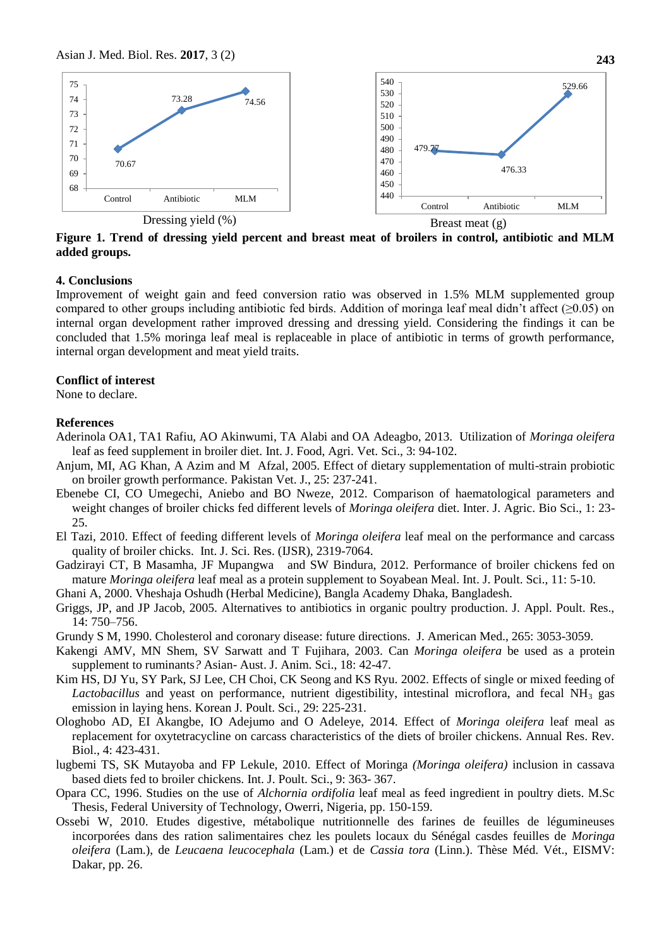

**Figure 1. Trend of dressing yield percent and breast meat of broilers in control, antibiotic and MLM added groups.**

## **4. Conclusions**

Improvement of weight gain and feed conversion ratio was observed in 1.5% MLM supplemented group compared to other groups including antibiotic fed birds. Addition of moringa leaf meal didn't affect ( $\geq 0.05$ ) on internal organ development rather improved dressing and dressing yield. Considering the findings it can be concluded that 1.5% moringa leaf meal is replaceable in place of antibiotic in terms of growth performance, internal organ development and meat yield traits.

# **Conflict of interest**

None to declare.

### **References**

- Aderinola OA1, TA1 Rafiu, AO Akinwumi, TA Alabi and OA Adeagbo, 2013. Utilization of *Moringa oleifera*  leaf as feed supplement in broiler diet. Int. J. Food, Agri. Vet. Sci., 3: 94-102.
- Anjum, MI, AG Khan, A Azim and M Afzal, 2005. Effect of dietary supplementation of multi-strain probiotic on broiler growth performance. Pakistan Vet. J., 25: 237-241.
- Ebenebe CI, CO Umegechi, Aniebo and BO Nweze, 2012. Comparison of haematological parameters and weight changes of broiler chicks fed different levels of *Moringa oleifera* diet. Inter. J. Agric. Bio Sci., 1: 23- 25.
- El Tazi, 2010. Effect of feeding different levels of *Moringa oleifera* leaf meal on the performance and carcass quality of broiler chicks. Int. J. Sci. Res. (IJSR), 2319-7064.
- Gadzirayi CT, B Masamha, JF Mupangwa and SW Bindura, 2012. Performance of broiler chickens fed on mature *Moringa oleifera* leaf meal as a protein supplement to Soyabean Meal. Int. J. Poult. Sci., 11: 5-10.
- Ghani A, 2000. Vheshaja Oshudh (Herbal Medicine), Bangla Academy Dhaka, Bangladesh.
- Griggs, JP, and JP Jacob, 2005. Alternatives to antibiotics in organic poultry production. J. Appl. Poult. Res., 14: 750–756.
- Grundy S M, 1990. Cholesterol and coronary disease: future directions. J. American Med., 265: 3053-3059.
- Kakengi AMV, MN Shem, SV Sarwatt and T Fujihara, 2003. Can *Moringa oleifera* be used as a protein supplement to ruminants*?* Asian- Aust. J. Anim. Sci., 18: 42-47.
- Kim HS, DJ Yu, SY Park, SJ Lee, CH Choi, CK Seong and KS Ryu. 2002. Effects of single or mixed feeding of Lactobacillus and yeast on performance, nutrient digestibility, intestinal microflora, and fecal NH<sub>3</sub> gas emission in laying hens. Korean J. Poult. Sci.*,* 29: 225-231.
- Ologhobo AD, EI Akangbe, IO Adejumo and O Adeleye, 2014. Effect of *Moringa oleifera* leaf meal as replacement for oxytetracycline on carcass characteristics of the diets of broiler chickens. Annual Res. Rev. Biol., 4: 423-431.
- lugbemi TS, SK Mutayoba and FP Lekule, 2010. Effect of Moringa *(Moringa oleifera)* inclusion in cassava based diets fed to broiler chickens*.* Int. J. Poult. Sci., 9: 363- 367.
- Opara CC, 1996. Studies on the use of *Alchornia ordifolia* leaf meal as feed ingredient in poultry diets. M.Sc Thesis, Federal University of Technology, Owerri, Nigeria, pp. 150-159.
- Ossebi W, 2010. Etudes digestive, métabolique nutritionnelle des farines de feuilles de légumineuses incorporées dans des ration salimentaires chez les poulets locaux du Sénégal casdes feuilles de *Moringa oleifera* (Lam.), de *Leucaena leucocephala* (Lam.) et de *Cassia tora* (Linn.). Thèse Méd. Vét., EISMV: Dakar, pp. 26.